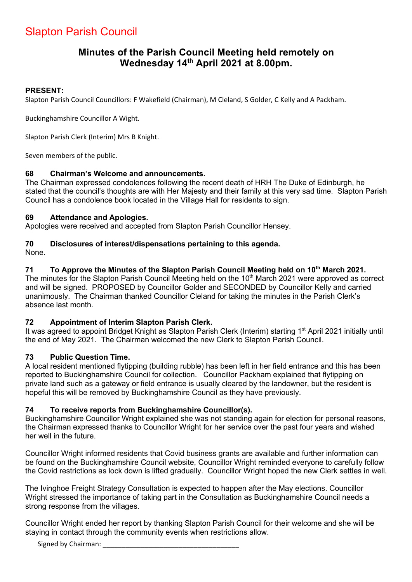# Slapton Parish Council

# **Minutes of the Parish Council Meeting held remotely on Wednesday 14th April 2021 at 8.00pm.**

#### **PRESENT:**

Slapton Parish Council Councillors: F Wakefield (Chairman), M Cleland, S Golder, C Kelly and A Packham.

Buckinghamshire Councillor A Wight.

Slapton Parish Clerk (Interim) Mrs B Knight.

Seven members of the public.

# **68 Chairman's Welcome and announcements.**

The Chairman expressed condolences following the recent death of HRH The Duke of Edinburgh, he stated that the council's thoughts are with Her Majesty and their family at this very sad time. Slapton Parish Council has a condolence book located in the Village Hall for residents to sign.

#### **69 Attendance and Apologies.**

Apologies were received and accepted from Slapton Parish Councillor Hensey.

# **70 Disclosures of interest/dispensations pertaining to this agenda.**

None.

# **71 To Approve the Minutes of the Slapton Parish Council Meeting held on 10th March 2021.**

The minutes for the Slapton Parish Council Meeting held on the 10<sup>th</sup> March 2021 were approved as correct and will be signed. PROPOSED by Councillor Golder and SECONDED by Councillor Kelly and carried unanimously. The Chairman thanked Councillor Cleland for taking the minutes in the Parish Clerk's absence last month.

# **72 Appointment of Interim Slapton Parish Clerk.**

It was agreed to appoint Bridget Knight as Slapton Parish Clerk (Interim) starting 1<sup>st</sup> April 2021 initially until the end of May 2021. The Chairman welcomed the new Clerk to Slapton Parish Council.

# **73 Public Question Time.**

A local resident mentioned flytipping (building rubble) has been left in her field entrance and this has been reported to Buckinghamshire Council for collection. Councillor Packham explained that flytipping on private land such as a gateway or field entrance is usually cleared by the landowner, but the resident is hopeful this will be removed by Buckinghamshire Council as they have previously.

# **74 To receive reports from Buckinghamshire Councillor(s).**

Buckinghamshire Councillor Wright explained she was not standing again for election for personal reasons, the Chairman expressed thanks to Councillor Wright for her service over the past four years and wished her well in the future.

Councillor Wright informed residents that Covid business grants are available and further information can be found on the Buckinghamshire Council website, Councillor Wright reminded everyone to carefully follow the Covid restrictions as lock down is lifted gradually. Councillor Wright hoped the new Clerk settles in well.

The Ivinghoe Freight Strategy Consultation is expected to happen after the May elections. Councillor Wright stressed the importance of taking part in the Consultation as Buckinghamshire Council needs a strong response from the villages.

Councillor Wright ended her report by thanking Slapton Parish Council for their welcome and she will be staying in contact through the community events when restrictions allow.

Signed by Chairman: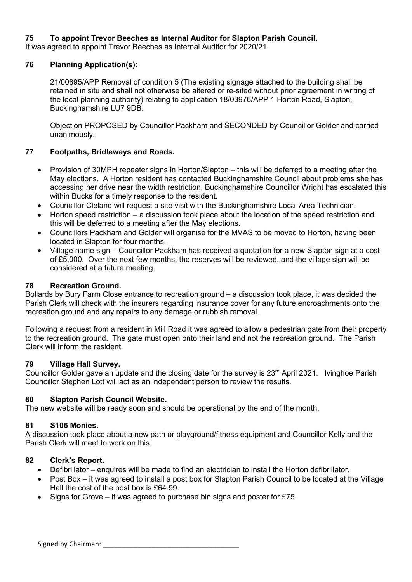#### **75 To appoint Trevor Beeches as Internal Auditor for Slapton Parish Council.**

It was agreed to appoint Trevor Beeches as Internal Auditor for 2020/21.

#### **76 Planning Application(s):**

21/00895/APP Removal of condition 5 (The existing signage attached to the building shall be retained in situ and shall not otherwise be altered or re-sited without prior agreement in writing of the local planning authority) relating to application 18/03976/APP 1 Horton Road, Slapton, Buckinghamshire LU7 9DB.

Objection PROPOSED by Councillor Packham and SECONDED by Councillor Golder and carried unanimously.

#### **77 Footpaths, Bridleways and Roads.**

- Provision of 30MPH repeater signs in Horton/Slapton this will be deferred to a meeting after the May elections. A Horton resident has contacted Buckinghamshire Council about problems she has accessing her drive near the width restriction, Buckinghamshire Councillor Wright has escalated this within Bucks for a timely response to the resident.
- Councillor Cleland will request a site visit with the Buckinghamshire Local Area Technician.
- Horton speed restriction a discussion took place about the location of the speed restriction and this will be deferred to a meeting after the May elections.
- Councillors Packham and Golder will organise for the MVAS to be moved to Horton, having been located in Slapton for four months.
- Village name sign Councillor Packham has received a quotation for a new Slapton sign at a cost of £5,000. Over the next few months, the reserves will be reviewed, and the village sign will be considered at a future meeting.

#### **78 Recreation Ground.**

Bollards by Bury Farm Close entrance to recreation ground – a discussion took place, it was decided the Parish Clerk will check with the insurers regarding insurance cover for any future encroachments onto the recreation ground and any repairs to any damage or rubbish removal.

Following a request from a resident in Mill Road it was agreed to allow a pedestrian gate from their property to the recreation ground. The gate must open onto their land and not the recreation ground. The Parish Clerk will inform the resident.

#### **79 Village Hall Survey.**

Councillor Golder gave an update and the closing date for the survey is 23<sup>rd</sup> April 2021. Ivinghoe Parish Councillor Stephen Lott will act as an independent person to review the results.

#### **80 Slapton Parish Council Website.**

The new website will be ready soon and should be operational by the end of the month.

#### **81 S106 Monies.**

A discussion took place about a new path or playground/fitness equipment and Councillor Kelly and the Parish Clerk will meet to work on this.

#### **82 Clerk's Report.**

- Defibrillator enquires will be made to find an electrician to install the Horton defibrillator.
- Post Box it was agreed to install a post box for Slapton Parish Council to be located at the Village Hall the cost of the post box is £64.99.
- Signs for Grove it was agreed to purchase bin signs and poster for  $£75$ .